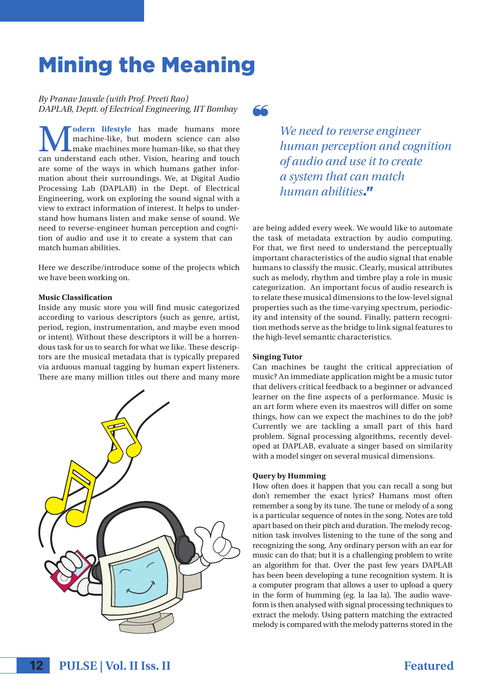# Mining the Meaning

*By Pranav Jawale (with Prof. Preeti Rao) DAPLAB, Deptt. of Electrical Engineering, IIT Bombay*

**M odern lifestyle** has made humans more<br>machine-like, but modern science can also<br>can understand each other. Vision, hearing and touch machine-like, but modern science can also make machines more human-like, so that they can understand each other. Vision, hearing and touch are some of the ways in which humans gather information about their surroundings. We, at Digital Audio Processing Lab (DAPLAB) in the Dept. of Electrical Engineering, work on exploring the sound signal with a view to extract information of interest. It helps to understand how humans listen and make sense of sound. We need to reverse-engineer human perception and cognition of audio and use it to create a system that can match human abilities.

Here we describe/introduce some of the projects which we have been working on.

## **Music Classification**

Inside any music store you will find music categorized according to various descriptors (such as genre, artist, period, region, instrumentation, and maybe even mood or intent). Without these descriptors it will be a horrendous task for us to search for what we like. These descriptors are the musical metadata that is typically prepared via arduous manual tagging by human expert listeners. There are many million titles out there and many more





*We need to reverse engineer human perception and cognition of audio and use it to create a system that can match human abilities*."

are being added every week. We would like to automate the task of metadata extraction by audio computing. For that, we first need to understand the perceptually important characteristics of the audio signal that enable humans to classify the music. Clearly, musical attributes such as melody, rhythm and timbre play a role in music categorization. An important focus of audio research is to relate these musical dimensions to the low-level signal properties such as the time-varying spectrum, periodicity and intensity of the sound. Finally, pattern recognition methods serve as the bridge to link signal features to the high-level semantic characteristics.

#### **Singing Tutor**

Can machines be taught the critical appreciation of music? An immediate application might be a music tutor that delivers critical feedback to a beginner or advanced learner on the fine aspects of a performance. Music is an art form where even its maestros will differ on some things, how can we expect the machines to do the job? Currently we are tackling a small part of this hard problem. Signal processing algorithms, recently developed at DAPLAB, evaluate a singer based on similarity with a model singer on several musical dimensions.

### **Query by Humming**

How often does it happen that you can recall a song but don't remember the exact lyrics? Humans most often remember a song by its tune. The tune or melody of a song is a particular sequence of notes in the song. Notes are told apart based on their pitch and duration. The melody recognition task involves listening to the tune of the song and recognizing the song. Any ordinary person with an ear for music can do that; but it is a challenging problem to write an algorithm for that. Over the past few years DAPLAB has been been developing a tune recognition system. It is a computer program that allows a user to upload a query in the form of humming (eg. la laa la). The audio waveform is then analysed with signal processing techniques to extract the melody. Using pattern matching the extracted melody is compared with the melody patterns stored in the